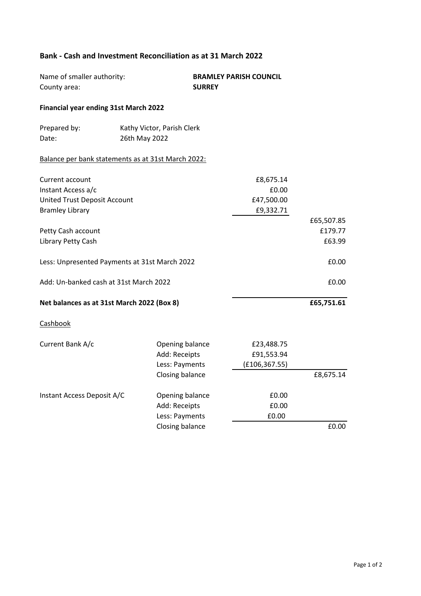## **Bank - Cash and Investment Reconciliation as at 31 March 2022**

| Name of smaller authority:<br>County area:         |               | <b>SURREY</b>              | <b>BRAMLEY PARISH COUNCIL</b> |            |
|----------------------------------------------------|---------------|----------------------------|-------------------------------|------------|
| Financial year ending 31st March 2022              |               |                            |                               |            |
| Prepared by:                                       |               | Kathy Victor, Parish Clerk |                               |            |
| Date:                                              | 26th May 2022 |                            |                               |            |
| Balance per bank statements as at 31st March 2022: |               |                            |                               |            |
| Current account                                    |               |                            | £8,675.14                     |            |
| Instant Access a/c                                 |               |                            | £0.00                         |            |
| <b>United Trust Deposit Account</b>                |               |                            | £47,500.00                    |            |
| <b>Bramley Library</b>                             |               |                            | £9,332.71                     |            |
|                                                    |               |                            |                               | £65,507.85 |
| Petty Cash account                                 |               |                            |                               | £179.77    |
| Library Petty Cash                                 |               |                            |                               | £63.99     |
| Less: Unpresented Payments at 31st March 2022      |               |                            |                               | £0.00      |
| Add: Un-banked cash at 31st March 2022             |               |                            |                               | £0.00      |
| Net balances as at 31st March 2022 (Box 8)         |               |                            |                               | £65,751.61 |
| Cashbook                                           |               |                            |                               |            |
| Current Bank A/c                                   |               | Opening balance            | £23,488.75                    |            |
|                                                    |               | Add: Receipts              | £91,553.94                    |            |
|                                                    |               | Less: Payments             | (E106, 367.55)                |            |
|                                                    |               | Closing balance            |                               | £8,675.14  |
| Instant Access Deposit A/C                         |               | Opening balance            | £0.00                         |            |
|                                                    |               | Add: Receipts              | £0.00                         |            |
|                                                    |               | Less: Payments             | £0.00                         |            |
|                                                    |               | Closing balance            |                               | £0.00      |